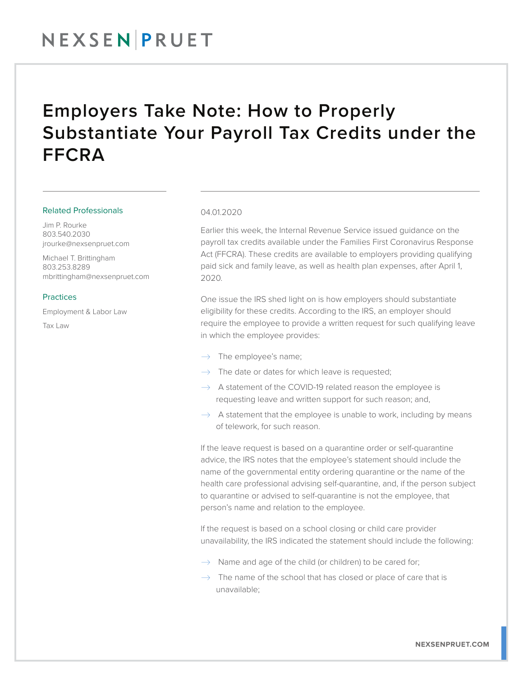## NEXSENPRUET

### Employers Take Note: How to Properly Substantiate Your Payroll Tax Credits under the FFCRA

#### Related Professionals

Jim P. Rourke 803.540.2030 jrourke@nexsenpruet.com

Michael T. Brittingham 803.253.8289 mbrittingham@nexsenpruet.com

#### Practices

Employment & Labor Law Tax Law

#### 04.01.2020

Earlier this week, the Internal Revenue Service issued guidance on the payroll tax credits available under the Families First Coronavirus Response Act (FFCRA). These credits are available to employers providing qualifying paid sick and family leave, as well as health plan expenses, after April 1, 2020.

One issue the IRS shed light on is how employers should substantiate eligibility for these credits. According to the IRS, an employer should require the employee to provide a written request for such qualifying leave in which the employee provides:

- $\rightarrow$  The employee's name;
- $\rightarrow$  The date or dates for which leave is requested;
- $\rightarrow$  A statement of the COVID-19 related reason the employee is requesting leave and written support for such reason; and,
- $\rightarrow$  A statement that the employee is unable to work, including by means of telework, for such reason.

If the leave request is based on a quarantine order or self-quarantine advice, the IRS notes that the employee's statement should include the name of the governmental entity ordering quarantine or the name of the health care professional advising self-quarantine, and, if the person subject to quarantine or advised to self-quarantine is not the employee, that person's name and relation to the employee.

If the request is based on a school closing or child care provider unavailability, the IRS indicated the statement should include the following:

- $\rightarrow$  Name and age of the child (or children) to be cared for;
- $\rightarrow$  The name of the school that has closed or place of care that is unavailable;